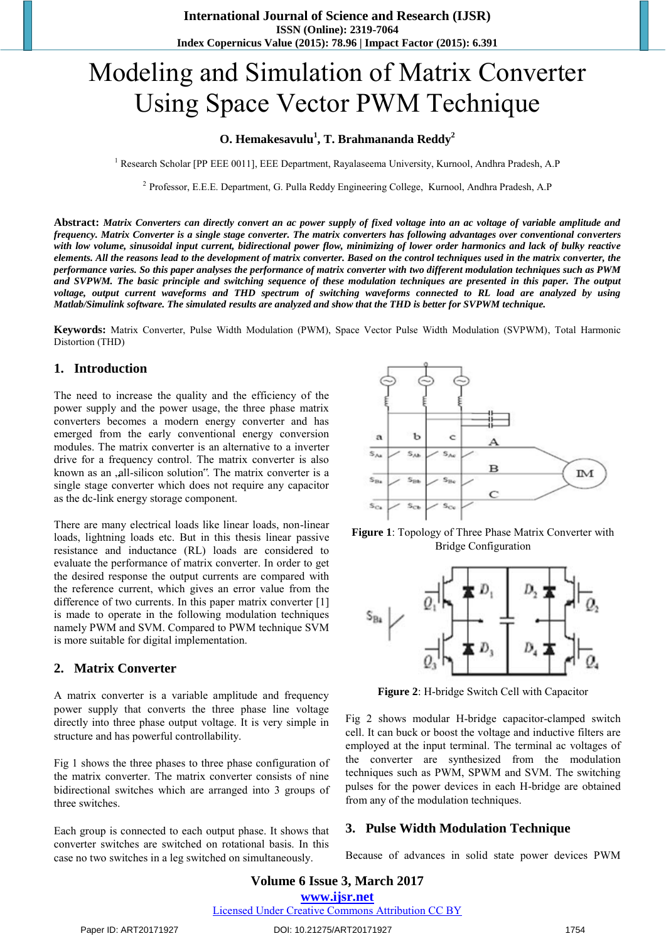# Modeling and Simulation of Matrix Converter Using Space Vector PWM Technique

## **O. Hemakesavulu<sup>1</sup> , T. Brahmananda Reddy<sup>2</sup>**

<sup>1</sup> Research Scholar [PP EEE 0011], EEE Department, Rayalaseema University, Kurnool, Andhra Pradesh, A.P

<sup>2</sup> Professor, E.E.E. Department, G. Pulla Reddy Engineering College, Kurnool, Andhra Pradesh, A.P

**Abstract:** *Matrix Converters can directly convert an ac power supply of fixed voltage into an ac voltage of variable amplitude and frequency. Matrix Converter is a single stage converter. The matrix converters has following advantages over conventional converters with low volume, sinusoidal input current, bidirectional power flow, minimizing of lower order harmonics and lack of bulky reactive elements. All the reasons lead to the development of matrix converter. Based on the control techniques used in the matrix converter, the performance varies. So this paper analyses the performance of matrix converter with two different modulation techniques such as PWM and SVPWM. The basic principle and switching sequence of these modulation techniques are presented in this paper. The output voltage, output current waveforms and THD spectrum of switching waveforms connected to RL load are analyzed by using Matlab/Simulink software. The simulated results are analyzed and show that the THD is better for SVPWM technique.*

**Keywords:** Matrix Converter, Pulse Width Modulation (PWM), Space Vector Pulse Width Modulation (SVPWM), Total Harmonic Distortion (THD)

#### **1. Introduction**

The need to increase the quality and the efficiency of the power supply and the power usage, the three phase matrix converters becomes a modern energy converter and has emerged from the early conventional energy conversion modules. The matrix converter is an alternative to a inverter drive for a frequency control. The matrix converter is also known as an ,all-silicon solution". The matrix converter is a single stage converter which does not require any capacitor as the dc-link energy storage component.

There are many electrical loads like linear loads, non-linear loads, lightning loads etc. But in this thesis linear passive resistance and inductance (RL) loads are considered to evaluate the performance of matrix converter. In order to get the desired response the output currents are compared with the reference current, which gives an error value from the difference of two currents. In this paper matrix converter [1] is made to operate in the following modulation techniques namely PWM and SVM. Compared to PWM technique SVM is more suitable for digital implementation.

#### **2. Matrix Converter**

A matrix converter is a variable amplitude and frequency power supply that converts the three phase line voltage directly into three phase output voltage. It is very simple in structure and has powerful controllability.

Fig 1 shows the three phases to three phase configuration of the matrix converter. The matrix converter consists of nine bidirectional switches which are arranged into 3 groups of three switches.

Each group is connected to each output phase. It shows that converter switches are switched on rotational basis. In this case no two switches in a leg switched on simultaneously.



**Figure 1**: Topology of Three Phase Matrix Converter with Bridge Configuration



**Figure 2**: H-bridge Switch Cell with Capacitor

Fig 2 shows modular H-bridge capacitor-clamped switch cell. It can buck or boost the voltage and inductive filters are employed at the input terminal. The terminal ac voltages of the converter are synthesized from the modulation techniques such as PWM, SPWM and SVM. The switching pulses for the power devices in each H-bridge are obtained from any of the modulation techniques.

#### **3. Pulse Width Modulation Technique**

Because of advances in solid state power devices PWM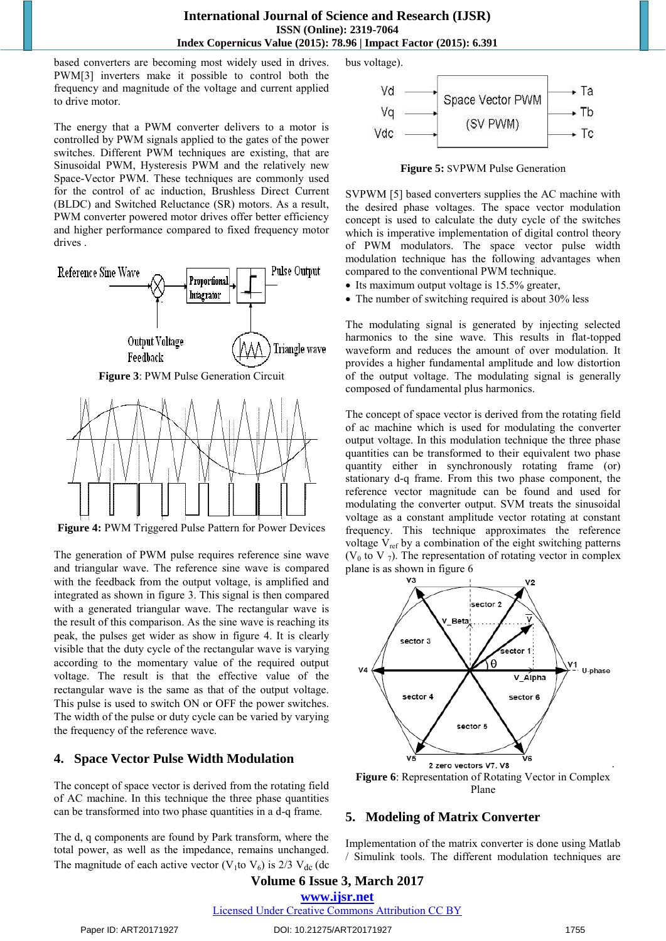### **International Journal of Science and Research (IJSR) ISSN (Online): 2319-7064 Index Copernicus Value (2015): 78.96 | Impact Factor (2015): 6.391**

based converters are becoming most widely used in drives. PWM[3] inverters make it possible to control both the frequency and magnitude of the voltage and current applied to drive motor.

The energy that a PWM converter delivers to a motor is controlled by PWM signals applied to the gates of the power switches. Different PWM techniques are existing, that are Sinusoidal PWM, Hysteresis PWM and the relatively new Space-Vector PWM. These techniques are commonly used for the control of ac induction, Brushless Direct Current (BLDC) and Switched Reluctance (SR) motors. As a result, PWM converter powered motor drives offer better efficiency and higher performance compared to fixed frequency motor drives .



**Figure 4:** PWM Triggered Pulse Pattern for Power Devices

The generation of PWM pulse requires reference sine wave and triangular wave. The reference sine wave is compared with the feedback from the output voltage, is amplified and integrated as shown in figure 3. This signal is then compared with a generated triangular wave. The rectangular wave is the result of this comparison. As the sine wave is reaching its peak, the pulses get wider as show in figure 4. It is clearly visible that the duty cycle of the rectangular wave is varying according to the momentary value of the required output voltage. The result is that the effective value of the rectangular wave is the same as that of the output voltage. This pulse is used to switch ON or OFF the power switches. The width of the pulse or duty cycle can be varied by varying the frequency of the reference wave.

## **4. Space Vector Pulse Width Modulation**

The concept of space vector is derived from the rotating field of AC machine. In this technique the three phase quantities can be transformed into two phase quantities in a d-q frame.

The d, q components are found by Park transform, where the total power, as well as the impedance, remains unchanged. The magnitude of each active vector (V<sub>1</sub>to V<sub>6</sub>) is 2/3 V<sub>dc</sub> (dc) bus voltage).



**Figure 5:** SVPWM Pulse Generation

SVPWM [5] based converters supplies the AC machine with the desired phase voltages. The space vector modulation concept is used to calculate the duty cycle of the switches which is imperative implementation of digital control theory of PWM modulators. The space vector pulse width modulation technique has the following advantages when compared to the conventional PWM technique.

- Its maximum output voltage is 15.5% greater,
- The number of switching required is about 30% less

The modulating signal is generated by injecting selected harmonics to the sine wave. This results in flat-topped waveform and reduces the amount of over modulation. It provides a higher fundamental amplitude and low distortion of the output voltage. The modulating signal is generally composed of fundamental plus harmonics.

The concept of space vector is derived from the rotating field of ac machine which is used for modulating the converter output voltage. In this modulation technique the three phase quantities can be transformed to their equivalent two phase quantity either in synchronously rotating frame (or) stationary d-q frame. From this two phase component, the reference vector magnitude can be found and used for modulating the converter output. SVM treats the sinusoidal voltage as a constant amplitude vector rotating at constant frequency. This technique approximates the reference voltage  $V_{ref}$  by a combination of the eight switching patterns ( $V_0$  to V  $_7$ ). The representation of rotating vector in complex plane is as shown in figure 6



Plane

## **5. Modeling of Matrix Converter**

Implementation of the matrix converter is done using Matlab / Simulink tools. The different modulation techniques are

**Volume 6 Issue 3, March 2017 www.ijsr.net** Licensed Under Creative Commons Attribution CC BY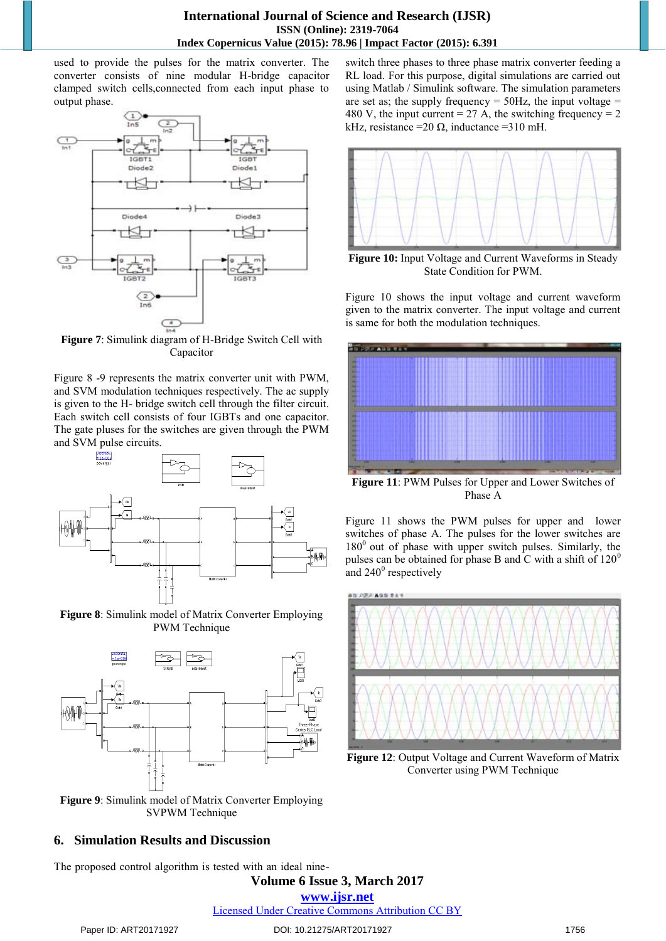used to provide the pulses for the matrix converter. The converter consists of nine modular H-bridge capacitor clamped switch cells,connected from each input phase to output phase.



**Figure 7**: Simulink diagram of H-Bridge Switch Cell with Capacitor

Figure 8 -9 represents the matrix converter unit with PWM, and SVM modulation techniques respectively. The ac supply is given to the H- bridge switch cell through the filter circuit. Each switch cell consists of four IGBTs and one capacitor. The gate pluses for the switches are given through the PWM and SVM pulse circuits.







**Figure 9**: Simulink model of Matrix Converter Employing SVPWM Technique

## **6. Simulation Results and Discussion**

The proposed control algorithm is tested with an ideal nine-

switch three phases to three phase matrix converter feeding a RL load. For this purpose, digital simulations are carried out using Matlab / Simulink software. The simulation parameters are set as; the supply frequency  $= 50$ Hz, the input voltage  $=$ 480 V, the input current = 27 A, the switching frequency =  $2$ kHz, resistance =  $20 \Omega$ , inductance =  $310 \text{ mH}$ .



**Figure 10:** Input Voltage and Current Waveforms in Steady State Condition for PWM.

Figure 10 shows the input voltage and current waveform given to the matrix converter. The input voltage and current is same for both the modulation techniques.



**Figure 11**: PWM Pulses for Upper and Lower Switches of Phase A

Figure 11 shows the PWM pulses for upper and lower switches of phase A. The pulses for the lower switches are  $180^0$  out of phase with upper switch pulses. Similarly, the pulses can be obtained for phase B and C with a shift of  $120^0$ and  $240^0$  respectively



**Figure 12**: Output Voltage and Current Waveform of Matrix Converter using PWM Technique

**Volume 6 Issue 3, March 2017** 

**www.ijsr.net**

Licensed Under Creative Commons Attribution CC BY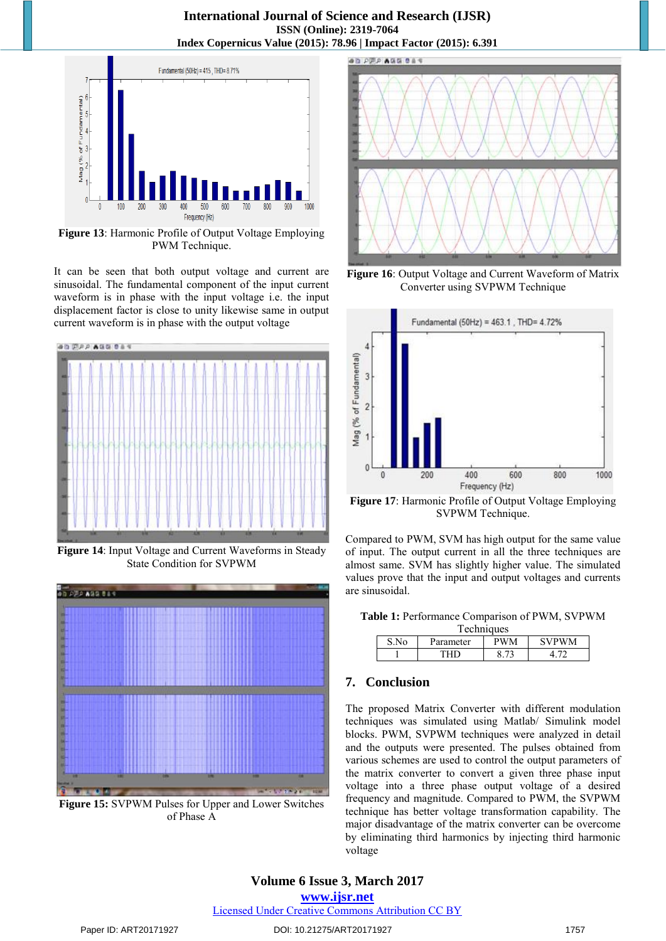**International Journal of Science and Research (IJSR) ISSN (Online): 2319-7064 Index Copernicus Value (2015): 78.96 | Impact Factor (2015): 6.391** 



**Figure 13**: Harmonic Profile of Output Voltage Employing PWM Technique.

It can be seen that both output voltage and current are sinusoidal. The fundamental component of the input current waveform is in phase with the input voltage i.e. the input displacement factor is close to unity likewise same in output current waveform is in phase with the output voltage



**Figure 14**: Input Voltage and Current Waveforms in Steady State Condition for SVPWM



**Figure 15:** SVPWM Pulses for Upper and Lower Switches of Phase A



**Figure 16**: Output Voltage and Current Waveform of Matrix Converter using SVPWM Technique



**Figure 17**: Harmonic Profile of Output Voltage Employing SVPWM Technique.

Compared to PWM, SVM has high output for the same value of input. The output current in all the three techniques are almost same. SVM has slightly higher value. The simulated values prove that the input and output voltages and currents are sinusoidal.

| Techniques |           |     |              |
|------------|-----------|-----|--------------|
| S.No       | Parameter | PWM | <b>SVPWM</b> |
|            |           |     |              |

## **7. Conclusion**

The proposed Matrix Converter with different modulation techniques was simulated using Matlab/ Simulink model blocks. PWM, SVPWM techniques were analyzed in detail and the outputs were presented. The pulses obtained from various schemes are used to control the output parameters of the matrix converter to convert a given three phase input voltage into a three phase output voltage of a desired frequency and magnitude. Compared to PWM, the SVPWM technique has better voltage transformation capability. The major disadvantage of the matrix converter can be overcome by eliminating third harmonics by injecting third harmonic voltage

Licensed Under Creative Commons Attribution CC BY